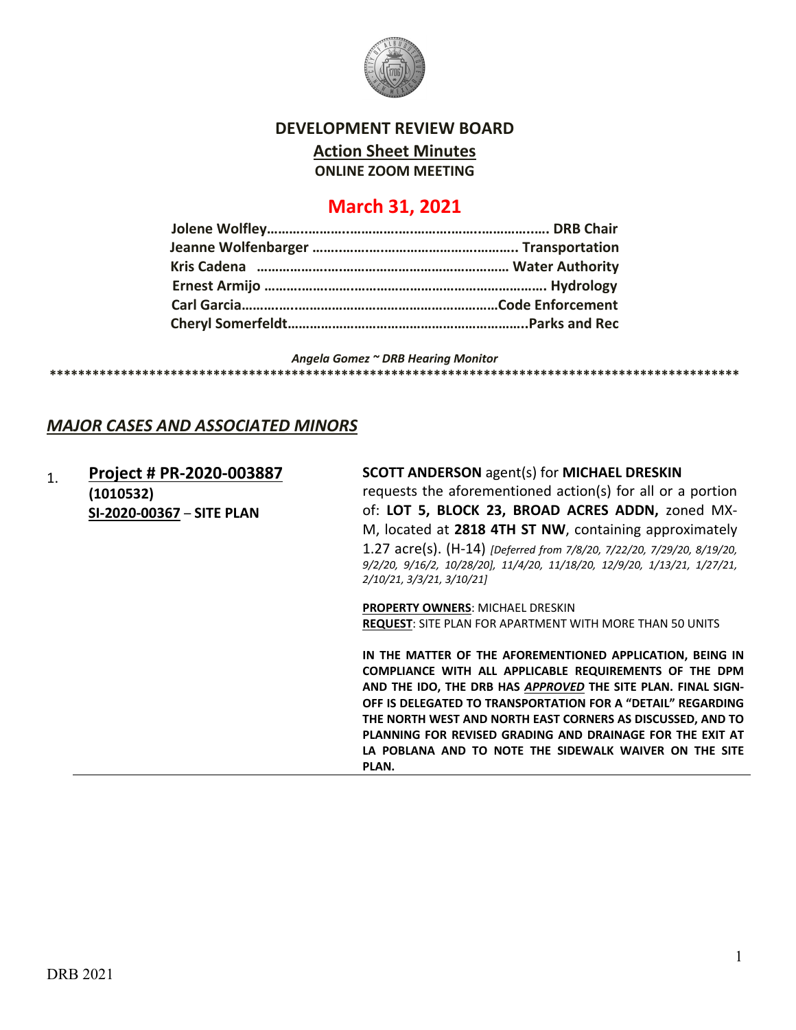

### **DEVELOPMENT REVIEW BOARD**

**Action Sheet Minutes**

**ONLINE ZOOM MEETING**

# **March 31, 2021**

*Angela Gomez ~ DRB Hearing Monitor*

#### **\*\*\*\*\*\*\*\*\*\*\*\*\*\*\*\*\*\*\*\*\*\*\*\*\*\*\*\*\*\*\*\*\*\*\*\*\*\*\*\*\*\*\*\*\*\*\*\*\*\*\*\*\*\*\*\*\*\*\*\*\*\*\*\*\*\*\*\*\*\*\*\*\*\*\*\*\*\*\*\*\*\*\*\*\*\*\*\*\*\*\*\*\*\*\*\*\***

### *MAJOR CASES AND ASSOCIATED MINORS*

1. **[Project # PR-2020-003887](http://data.cabq.gov/government/planning/DRB/PR-2020-003887/DRB%20Submittals/) (1010532) SI-2020-00367** – **SITE PLAN**

**SCOTT ANDERSON** agent(s) for **MICHAEL DRESKIN** requests the aforementioned action(s) for all or a portion of: **LOT 5, BLOCK 23, BROAD ACRES ADDN,** zoned MX-M, located at **2818 4TH ST NW**, containing approximately 1.27 acre(s). (H-14) *[Deferred from 7/8/20, 7/22/20, 7/29/20, 8/19/20, 9/2/20, 9/16/2, 10/28/20], 11/4/20, 11/18/20, 12/9/20, 1/13/21, 1/27/21, 2/10/21, 3/3/21, 3/10/21]*

**PROPERTY OWNERS**: MICHAEL DRESKIN **REQUEST**: SITE PLAN FOR APARTMENT WITH MORE THAN 50 UNITS

**IN THE MATTER OF THE AFOREMENTIONED APPLICATION, BEING IN COMPLIANCE WITH ALL APPLICABLE REQUIREMENTS OF THE DPM AND THE IDO, THE DRB HAS** *APPROVED* **THE SITE PLAN. FINAL SIGN-OFF IS DELEGATED TO TRANSPORTATION FOR A "DETAIL" REGARDING THE NORTH WEST AND NORTH EAST CORNERS AS DISCUSSED, AND TO PLANNING FOR REVISED GRADING AND DRAINAGE FOR THE EXIT AT LA POBLANA AND TO NOTE THE SIDEWALK WAIVER ON THE SITE PLAN.**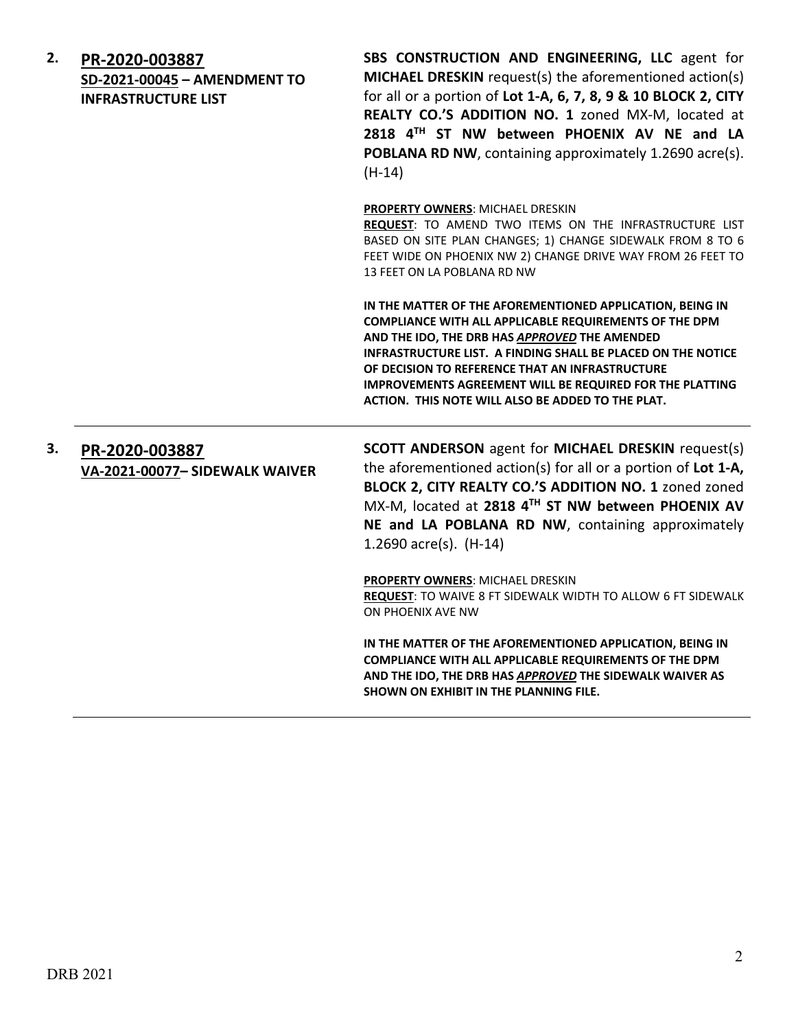| 2. | PR-2020-003887<br>SD-2021-00045 - AMENDMENT TO<br><b>INFRASTRUCTURE LIST</b> | SBS CONSTRUCTION AND ENGINEERING, LLC agent for<br>MICHAEL DRESKIN request(s) the aforementioned action(s)<br>for all or a portion of Lot 1-A, 6, 7, 8, 9 & 10 BLOCK 2, CITY<br>REALTY CO.'S ADDITION NO. 1 zoned MX-M, located at<br>2818 4TH ST NW between PHOENIX AV NE and LA<br>POBLANA RD NW, containing approximately 1.2690 acre(s).<br>$(H-14)$                                                        |
|----|------------------------------------------------------------------------------|-----------------------------------------------------------------------------------------------------------------------------------------------------------------------------------------------------------------------------------------------------------------------------------------------------------------------------------------------------------------------------------------------------------------|
|    |                                                                              | PROPERTY OWNERS: MICHAEL DRESKIN<br>REQUEST: TO AMEND TWO ITEMS ON THE INFRASTRUCTURE LIST<br>BASED ON SITE PLAN CHANGES; 1) CHANGE SIDEWALK FROM 8 TO 6<br>FEET WIDE ON PHOENIX NW 2) CHANGE DRIVE WAY FROM 26 FEET TO<br>13 FEET ON LA POBLANA RD NW                                                                                                                                                          |
|    |                                                                              | IN THE MATTER OF THE AFOREMENTIONED APPLICATION, BEING IN<br>COMPLIANCE WITH ALL APPLICABLE REQUIREMENTS OF THE DPM<br>AND THE IDO, THE DRB HAS APPROVED THE AMENDED<br>INFRASTRUCTURE LIST. A FINDING SHALL BE PLACED ON THE NOTICE<br>OF DECISION TO REFERENCE THAT AN INFRASTRUCTURE<br><b>IMPROVEMENTS AGREEMENT WILL BE REQUIRED FOR THE PLATTING</b><br>ACTION. THIS NOTE WILL ALSO BE ADDED TO THE PLAT. |
| З. | PR-2020-003887<br>VA-2021-00077- SIDEWALK WAIVER                             | <b>SCOTT ANDERSON</b> agent for MICHAEL DRESKIN request(s)<br>the aforementioned action(s) for all or a portion of Lot 1-A,<br>BLOCK 2, CITY REALTY CO.'S ADDITION NO. 1 zoned zoned<br>MX-M, located at 2818 4TH ST NW between PHOENIX AV<br>NE and LA POBLANA RD NW, containing approximately<br>1.2690 $\arccos 1$ . (H-14)                                                                                  |
|    |                                                                              | <b>PROPERTY OWNERS: MICHAEL DRESKIN</b><br>REQUEST: TO WAIVE 8 FT SIDEWALK WIDTH TO ALLOW 6 FT SIDEWALK<br>ON PHOENIX AVE NW                                                                                                                                                                                                                                                                                    |
|    |                                                                              | IN THE MATTER OF THE AFOREMENTIONED APPLICATION, BEING IN<br>COMPLIANCE WITH ALL APPLICABLE REQUIREMENTS OF THE DPM<br>AND THE IDO, THE DRB HAS APPROVED THE SIDEWALK WAIVER AS<br>SHOWN ON EXHIBIT IN THE PLANNING FILE.                                                                                                                                                                                       |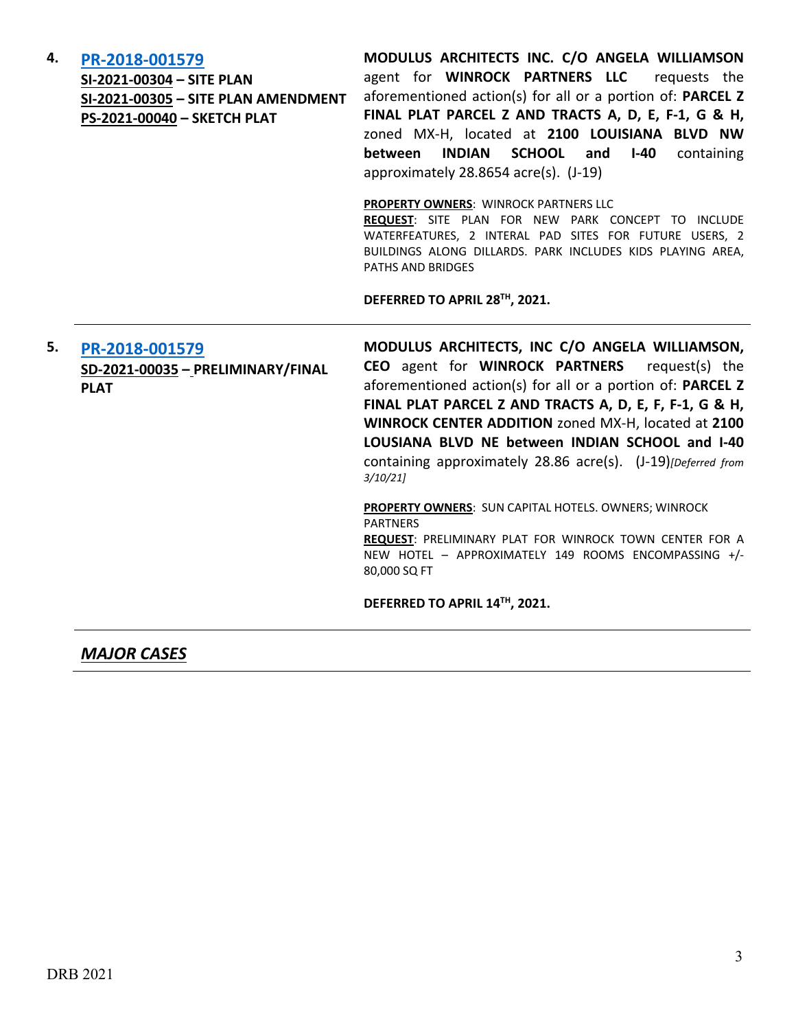### **4. [PR-2018-001579](http://data.cabq.gov/government/planning/DRB/PR-2018-001579/DRB%20Submittals/PR-2018-001579_March_31_2021/Application/Application%20Combined_FullSet.pdf)**

**SI-2021-00304 – SITE PLAN SI-2021-00305 – SITE PLAN AMENDMENT PS-2021-00040 – SKETCH PLAT**

**MODULUS ARCHITECTS INC. C/O ANGELA WILLIAMSON**  agent for **WINROCK PARTNERS LLC** requests the aforementioned action(s) for all or a portion of: **PARCEL Z FINAL PLAT PARCEL Z AND TRACTS A, D, E, F-1, G & H,**  zoned MX-H, located at **2100 LOUISIANA BLVD NW between INDIAN SCHOOL and I-40** containing approximately 28.8654 acre(s). (J-19)

#### **PROPERTY OWNERS**: WINROCK PARTNERS LLC

**REQUEST**: SITE PLAN FOR NEW PARK CONCEPT TO INCLUDE WATERFEATURES, 2 INTERAL PAD SITES FOR FUTURE USERS, 2 BUILDINGS ALONG DILLARDS. PARK INCLUDES KIDS PLAYING AREA, PATHS AND BRIDGES

**DEFERRED TO APRIL 28TH, 2021.**

**5. [PR-2018-001579](http://data.cabq.gov/government/planning/DRB/PR-2018-001579/DRB%20Submittals/PR-2018-001579_MARCH_10_2021/Application/) SD-2021-00035 – PRELIMINARY/FINAL PLAT**

**MODULUS ARCHITECTS, INC C/O ANGELA WILLIAMSON, CEO** agent for **WINROCK PARTNERS** request(s) the aforementioned action(s) for all or a portion of: **PARCEL Z FINAL PLAT PARCEL Z AND TRACTS A, D, E, F, F-1, G & H, WINROCK CENTER ADDITION** zoned MX-H, located at **2100 LOUSIANA BLVD NE between INDIAN SCHOOL and I-40** containing approximately 28.86 acre(s). (J-19)*[Deferred from 3/10/21]*

**PROPERTY OWNERS**: SUN CAPITAL HOTELS. OWNERS; WINROCK PARTNERS **REQUEST**: PRELIMINARY PLAT FOR WINROCK TOWN CENTER FOR A NEW HOTEL – APPROXIMATELY 149 ROOMS ENCOMPASSING +/- 80,000 SQ FT

**DEFERRED TO APRIL 14TH, 2021.**

# *MAJOR CASES*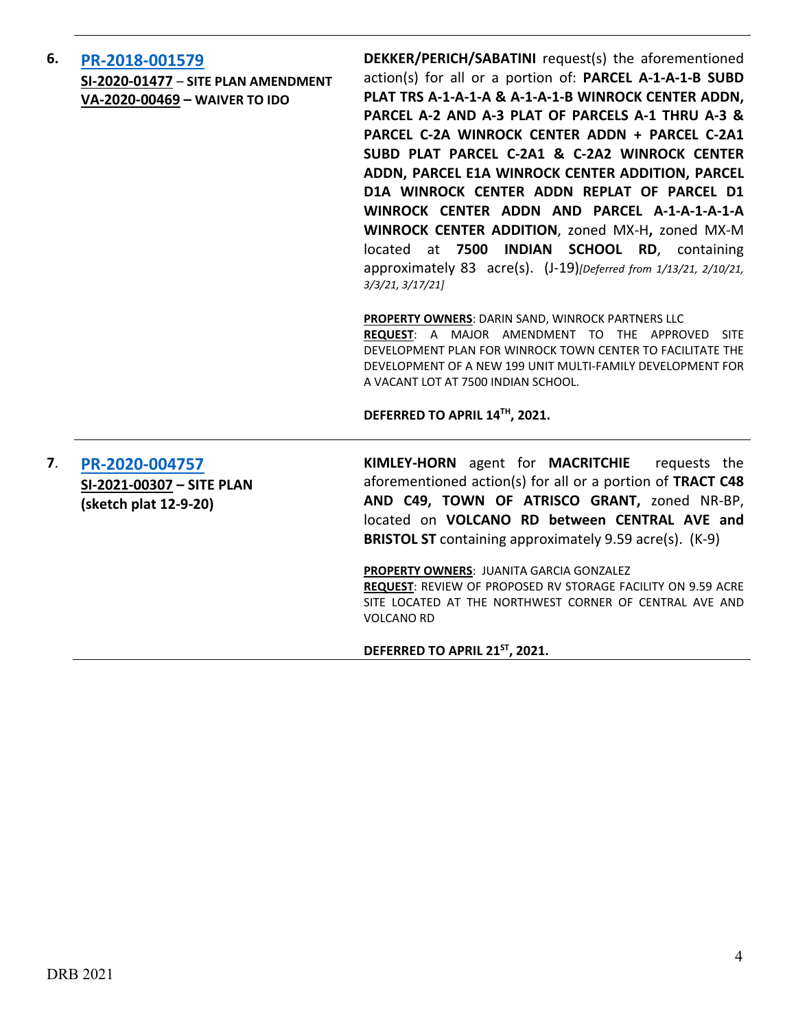**6. [PR-2018-001579](http://data.cabq.gov/government/planning/DRB/PR-2018-001579/DRB%20Submittals/) SI-2020-01477** – **SITE PLAN AMENDMENT VA-2020-00469 – WAIVER TO IDO**

**DEKKER/PERICH/SABATINI** request(s) the aforementioned action(s) for all or a portion of: **PARCEL A-1-A-1-B SUBD PLAT TRS A-1-A-1-A & A-1-A-1-B WINROCK CENTER ADDN, PARCEL A-2 AND A-3 PLAT OF PARCELS A-1 THRU A-3 & PARCEL C-2A WINROCK CENTER ADDN + PARCEL C-2A1 SUBD PLAT PARCEL C-2A1 & C-2A2 WINROCK CENTER ADDN, PARCEL E1A WINROCK CENTER ADDITION, PARCEL D1A WINROCK CENTER ADDN REPLAT OF PARCEL D1 WINROCK CENTER ADDN AND PARCEL A-1-A-1-A-1-A WINROCK CENTER ADDITION**, zoned MX-H**,** zoned MX-M located at **7500 INDIAN SCHOOL RD**, containing approximately 83 acre(s). (J-19)*[Deferred from 1/13/21, 2/10/21, 3/3/21, 3/17/21]*

**PROPERTY OWNERS**: DARIN SAND, WINROCK PARTNERS LLC

**REQUEST**: A MAJOR AMENDMENT TO THE APPROVED SITE DEVELOPMENT PLAN FOR WINROCK TOWN CENTER TO FACILITATE THE DEVELOPMENT OF A NEW 199 UNIT MULTI-FAMILY DEVELOPMENT FOR A VACANT LOT AT 7500 INDIAN SCHOOL.

**DEFERRED TO APRIL 14TH, 2021.**

**7**. **[PR-2020-004757](http://data.cabq.gov/government/planning/DRB/PR-2020-004757/DRB%20Submittals/PR-2020-004757_March_31_2021/Application/DRB%20Site%20Plan%20Submission.pdf) SI-2021-00307 – SITE PLAN (sketch plat 12-9-20)**

**KIMLEY-HORN** agent for **MACRITCHIE** requests the aforementioned action(s) for all or a portion of **TRACT C48 AND C49, TOWN OF ATRISCO GRANT,** zoned NR-BP, located on **VOLCANO RD between CENTRAL AVE and BRISTOL ST** containing approximately 9.59 acre(s). (K-9)

**PROPERTY OWNERS**: JUANITA GARCIA GONZALEZ **REQUEST**: REVIEW OF PROPOSED RV STORAGE FACILITY ON 9.59 ACRE SITE LOCATED AT THE NORTHWEST CORNER OF CENTRAL AVE AND VOLCANO RD

**DEFERRED TO APRIL 21ST, 2021.**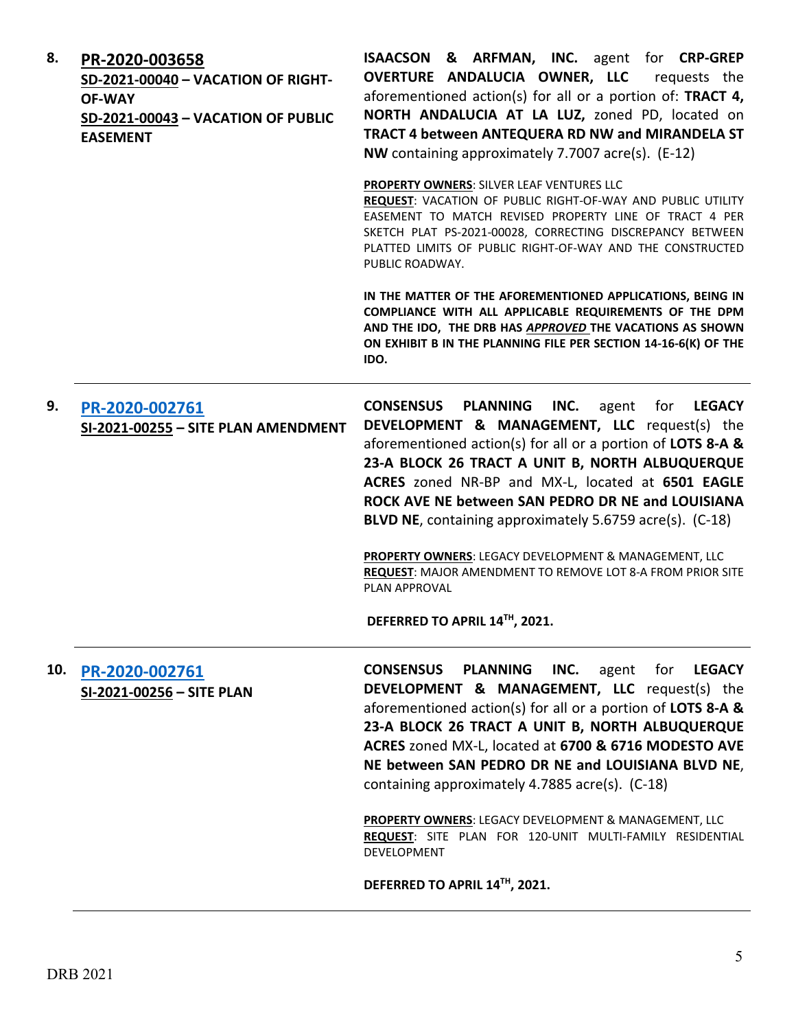| 8.  | PR-2020-003658<br>SD-2021-00040 - VACATION OF RIGHT-<br><b>OF-WAY</b><br>SD-2021-00043 - VACATION OF PUBLIC<br><b>EASEMENT</b> | <b>ISAACSON &amp; ARFMAN, INC.</b> agent for CRP-GREP<br>OVERTURE ANDALUCIA OWNER, LLC<br>requests the<br>aforementioned action(s) for all or a portion of: TRACT 4,<br>NORTH ANDALUCIA AT LA LUZ, zoned PD, located on<br>TRACT 4 between ANTEQUERA RD NW and MIRANDELA ST<br>NW containing approximately 7.7007 acre(s). (E-12)                                                                                                                                                                                                                                                                      |
|-----|--------------------------------------------------------------------------------------------------------------------------------|--------------------------------------------------------------------------------------------------------------------------------------------------------------------------------------------------------------------------------------------------------------------------------------------------------------------------------------------------------------------------------------------------------------------------------------------------------------------------------------------------------------------------------------------------------------------------------------------------------|
|     |                                                                                                                                | <b>PROPERTY OWNERS: SILVER LEAF VENTURES LLC</b><br>REQUEST: VACATION OF PUBLIC RIGHT-OF-WAY AND PUBLIC UTILITY<br>EASEMENT TO MATCH REVISED PROPERTY LINE OF TRACT 4 PER<br>SKETCH PLAT PS-2021-00028, CORRECTING DISCREPANCY BETWEEN<br>PLATTED LIMITS OF PUBLIC RIGHT-OF-WAY AND THE CONSTRUCTED<br>PUBLIC ROADWAY.                                                                                                                                                                                                                                                                                 |
|     |                                                                                                                                | IN THE MATTER OF THE AFOREMENTIONED APPLICATIONS, BEING IN<br>COMPLIANCE WITH ALL APPLICABLE REQUIREMENTS OF THE DPM<br>AND THE IDO, THE DRB HAS APPROVED THE VACATIONS AS SHOWN<br>ON EXHIBIT B IN THE PLANNING FILE PER SECTION 14-16-6(K) OF THE<br>IDO.                                                                                                                                                                                                                                                                                                                                            |
| 9.  | PR-2020-002761<br>SI-2021-00255 - SITE PLAN AMENDMENT                                                                          | <b>CONSENSUS</b><br><b>PLANNING</b><br>INC.<br>for<br><b>LEGACY</b><br>agent<br>DEVELOPMENT & MANAGEMENT, LLC request(s) the<br>aforementioned action(s) for all or a portion of LOTS 8-A &<br>23-A BLOCK 26 TRACT A UNIT B, NORTH ALBUQUERQUE<br>ACRES zoned NR-BP and MX-L, located at 6501 EAGLE<br>ROCK AVE NE between SAN PEDRO DR NE and LOUISIANA<br>BLVD NE, containing approximately 5.6759 acre(s). (C-18)<br>PROPERTY OWNERS: LEGACY DEVELOPMENT & MANAGEMENT, LLC<br><b>REQUEST: MAJOR AMENDMENT TO REMOVE LOT 8-A FROM PRIOR SITE</b><br>PLAN APPROVAL<br>DEFERRED TO APRIL 14™, 2021.    |
| 10. | PR-2020-002761<br>SI-2021-00256 - SITE PLAN                                                                                    | <b>CONSENSUS PLANNING</b><br>INC.<br><b>LEGACY</b><br>agent<br>for<br><b>DEVELOPMENT &amp; MANAGEMENT, LLC</b> request(s) the<br>aforementioned action(s) for all or a portion of <b>LOTS 8-A &amp;</b><br>23-A BLOCK 26 TRACT A UNIT B, NORTH ALBUQUERQUE<br>ACRES zoned MX-L, located at 6700 & 6716 MODESTO AVE<br>NE between SAN PEDRO DR NE and LOUISIANA BLVD NE,<br>containing approximately 4.7885 acre(s). (C-18)<br>PROPERTY OWNERS: LEGACY DEVELOPMENT & MANAGEMENT, LLC<br>REQUEST: SITE PLAN FOR 120-UNIT MULTI-FAMILY RESIDENTIAL<br><b>DEVELOPMENT</b><br>DEFERRED TO APRIL 14TH, 2021. |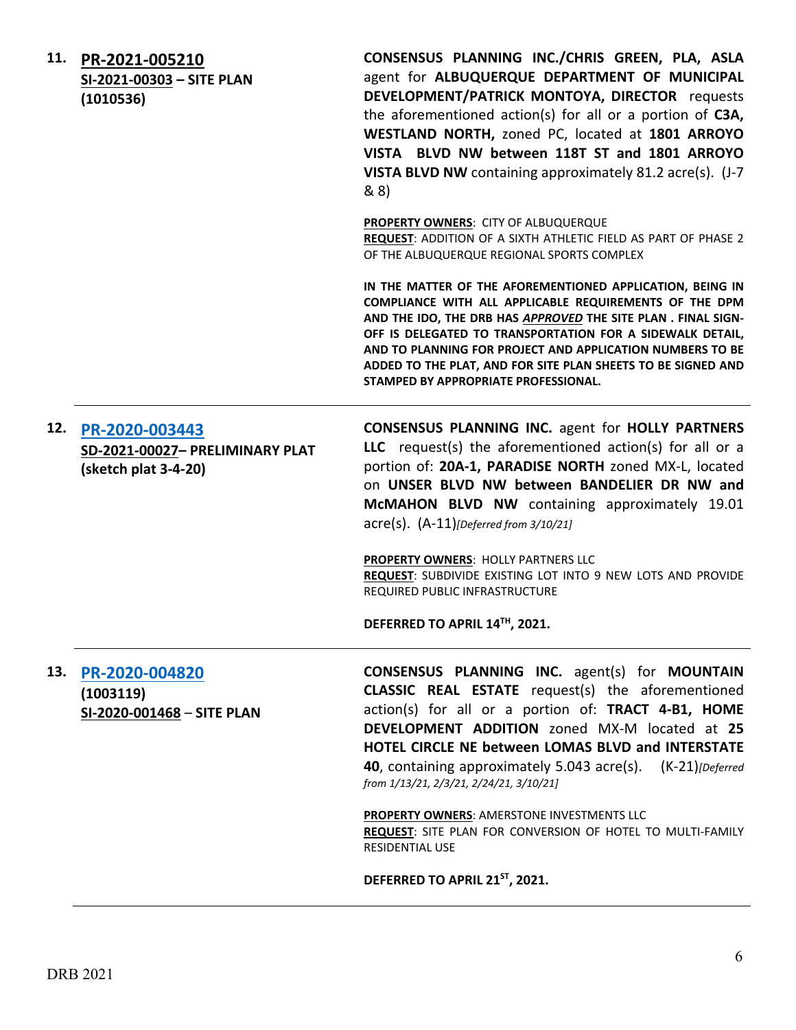|     | 11. PR-2021-005210<br>SI-2021-00303 - SITE PLAN<br>(1010536) | CONSENSUS PLANNING INC./CHRIS GREEN, PLA, ASLA<br>agent for ALBUQUERQUE DEPARTMENT OF MUNICIPAL<br>DEVELOPMENT/PATRICK MONTOYA, DIRECTOR requests<br>the aforementioned action(s) for all or a portion of C3A,<br>WESTLAND NORTH, zoned PC, located at 1801 ARROYO<br>VISTA BLVD NW between 118T ST and 1801 ARROYO<br>VISTA BLVD NW containing approximately 81.2 acre(s). (J-7<br>8(8)                              |
|-----|--------------------------------------------------------------|-----------------------------------------------------------------------------------------------------------------------------------------------------------------------------------------------------------------------------------------------------------------------------------------------------------------------------------------------------------------------------------------------------------------------|
|     |                                                              | <b>PROPERTY OWNERS: CITY OF ALBUQUERQUE</b><br>REQUEST: ADDITION OF A SIXTH ATHLETIC FIELD AS PART OF PHASE 2<br>OF THE ALBUQUERQUE REGIONAL SPORTS COMPLEX                                                                                                                                                                                                                                                           |
|     |                                                              | IN THE MATTER OF THE AFOREMENTIONED APPLICATION, BEING IN<br>COMPLIANCE WITH ALL APPLICABLE REQUIREMENTS OF THE DPM<br>AND THE IDO, THE DRB HAS APPROVED THE SITE PLAN. FINAL SIGN-<br>OFF IS DELEGATED TO TRANSPORTATION FOR A SIDEWALK DETAIL,<br>AND TO PLANNING FOR PROJECT AND APPLICATION NUMBERS TO BE<br>ADDED TO THE PLAT, AND FOR SITE PLAN SHEETS TO BE SIGNED AND<br>STAMPED BY APPROPRIATE PROFESSIONAL. |
|     | 12. PR-2020-003443                                           | <b>CONSENSUS PLANNING INC. agent for HOLLY PARTNERS</b>                                                                                                                                                                                                                                                                                                                                                               |
|     | SD-2021-00027- PRELIMINARY PLAT                              | LLC request(s) the aforementioned action(s) for all or a                                                                                                                                                                                                                                                                                                                                                              |
|     | (sketch plat 3-4-20)                                         | portion of: 20A-1, PARADISE NORTH zoned MX-L, located<br>on UNSER BLVD NW between BANDELIER DR NW and<br>McMAHON BLVD NW containing approximately 19.01<br>$\text{acre}(s)$ . $(A-11)$ [Deferred from 3/10/21]                                                                                                                                                                                                        |
|     |                                                              | PROPERTY OWNERS: HOLLY PARTNERS LLC<br>REQUEST: SUBDIVIDE EXISTING LOT INTO 9 NEW LOTS AND PROVIDE<br>REQUIRED PUBLIC INFRASTRUCTURE                                                                                                                                                                                                                                                                                  |
|     |                                                              | DEFERRED TO APRIL 14TH, 2021.                                                                                                                                                                                                                                                                                                                                                                                         |
| 13. | PR-2020-004820                                               | <b>CONSENSUS PLANNING INC.</b> agent(s) for <b>MOUNTAIN</b>                                                                                                                                                                                                                                                                                                                                                           |
|     | (1003119)                                                    | <b>CLASSIC REAL ESTATE</b> request(s) the aforementioned                                                                                                                                                                                                                                                                                                                                                              |
|     | SI-2020-001468 - SITE PLAN                                   | action(s) for all or a portion of: TRACT 4-B1, HOME                                                                                                                                                                                                                                                                                                                                                                   |
|     |                                                              | DEVELOPMENT ADDITION zoned MX-M located at 25                                                                                                                                                                                                                                                                                                                                                                         |
|     |                                                              | <b>HOTEL CIRCLE NE between LOMAS BLVD and INTERSTATE</b>                                                                                                                                                                                                                                                                                                                                                              |
|     |                                                              | 40, containing approximately 5.043 acre(s). (K-21)[Deferred]<br>from 1/13/21, 2/3/21, 2/24/21, 3/10/21]                                                                                                                                                                                                                                                                                                               |
|     |                                                              | PROPERTY OWNERS: AMERSTONE INVESTMENTS LLC<br>REQUEST: SITE PLAN FOR CONVERSION OF HOTEL TO MULTI-FAMILY<br><b>RESIDENTIAL USE</b>                                                                                                                                                                                                                                                                                    |
|     |                                                              | DEFERRED TO APRIL 21 <sup>ST</sup> , 2021.                                                                                                                                                                                                                                                                                                                                                                            |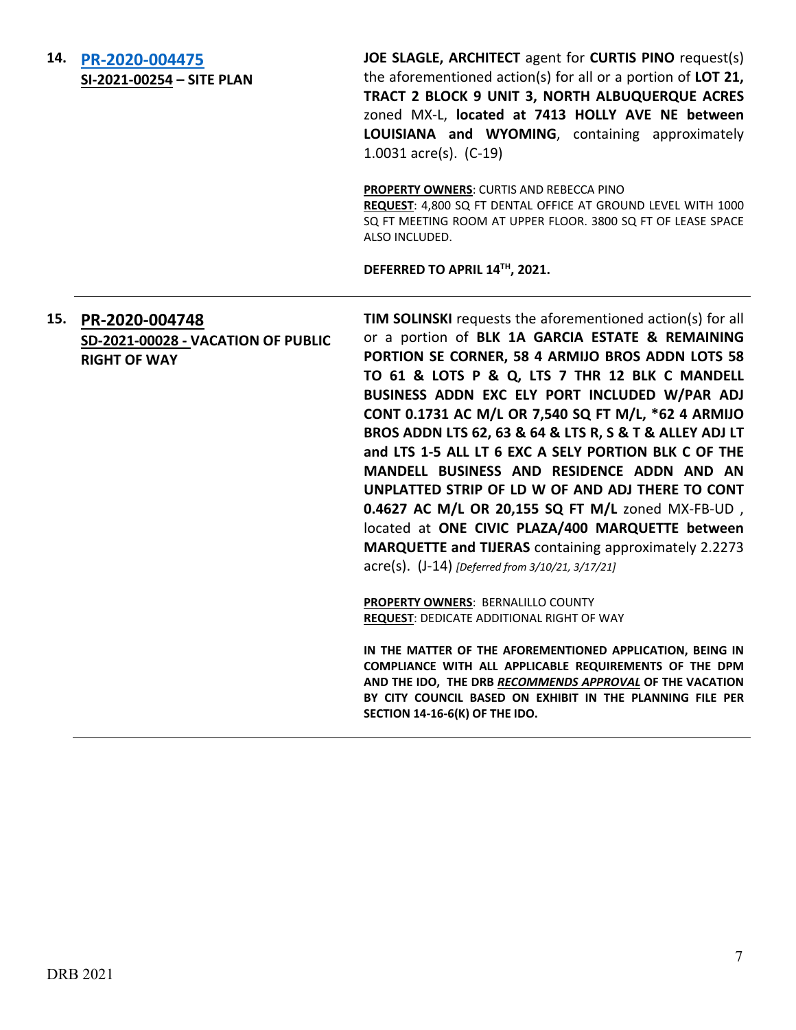| 14. | PR-2020-004475<br>SI-2021-00254 - SITE PLAN                                 | JOE SLAGLE, ARCHITECT agent for CURTIS PINO request(s)<br>the aforementioned action(s) for all or a portion of LOT 21,<br>TRACT 2 BLOCK 9 UNIT 3, NORTH ALBUQUERQUE ACRES<br>zoned MX-L, located at 7413 HOLLY AVE NE between<br>LOUISIANA and WYOMING, containing approximately<br>1.0031 $\arccos 1$ (C-19)                                                                                                                                                                                                                                                                                                                                                     |
|-----|-----------------------------------------------------------------------------|-------------------------------------------------------------------------------------------------------------------------------------------------------------------------------------------------------------------------------------------------------------------------------------------------------------------------------------------------------------------------------------------------------------------------------------------------------------------------------------------------------------------------------------------------------------------------------------------------------------------------------------------------------------------|
|     |                                                                             | PROPERTY OWNERS: CURTIS AND REBECCA PINO<br>REQUEST: 4,800 SQ FT DENTAL OFFICE AT GROUND LEVEL WITH 1000<br>SQ FT MEETING ROOM AT UPPER FLOOR. 3800 SQ FT OF LEASE SPACE<br>ALSO INCLUDED.                                                                                                                                                                                                                                                                                                                                                                                                                                                                        |
|     |                                                                             | DEFERRED TO APRIL 14TH, 2021.                                                                                                                                                                                                                                                                                                                                                                                                                                                                                                                                                                                                                                     |
| 15. | PR-2020-004748<br>SD-2021-00028 - VACATION OF PUBLIC<br><b>RIGHT OF WAY</b> | <b>TIM SOLINSKI</b> requests the aforementioned action(s) for all<br>or a portion of BLK 1A GARCIA ESTATE & REMAINING<br>PORTION SE CORNER, 58 4 ARMIJO BROS ADDN LOTS 58<br>TO 61 & LOTS P & Q, LTS 7 THR 12 BLK C MANDELL<br>BUSINESS ADDN EXC ELY PORT INCLUDED W/PAR ADJ<br>CONT 0.1731 AC M/L OR 7,540 SQ FT M/L, *62 4 ARMIJO<br>BROS ADDN LTS 62, 63 & 64 & LTS R, S & T & ALLEY ADJ LT<br>and LTS 1-5 ALL LT 6 EXC A SELY PORTION BLK C OF THE<br>MANDELL BUSINESS AND RESIDENCE ADDN AND AN<br>UNPLATTED STRIP OF LD W OF AND ADJ THERE TO CONT<br>0.4627 AC M/L OR 20,155 SQ FT M/L zoned MX-FB-UD,<br>located at ONE CIVIC PLAZA/400 MARQUETTE between |
|     |                                                                             | <b>MARQUETTE and TIJERAS</b> containing approximately 2.2273<br>acre(s). (J-14) [Deferred from 3/10/21, 3/17/21]                                                                                                                                                                                                                                                                                                                                                                                                                                                                                                                                                  |
|     |                                                                             | <b>PROPERTY OWNERS: BERNALILLO COUNTY</b><br><b>REQUEST: DEDICATE ADDITIONAL RIGHT OF WAY</b>                                                                                                                                                                                                                                                                                                                                                                                                                                                                                                                                                                     |
|     |                                                                             | IN THE MATTER OF THE AFOREMENTIONED APPLICATION, BEING IN<br>COMPLIANCE WITH ALL APPLICABLE REQUIREMENTS OF THE DPM<br>AND THE IDO, THE DRB RECOMMENDS APPROVAL OF THE VACATION<br>BY CITY COUNCIL BASED ON EXHIBIT IN THE PLANNING FILE PER<br>SECTION 14-16-6(K) OF THE IDO.                                                                                                                                                                                                                                                                                                                                                                                    |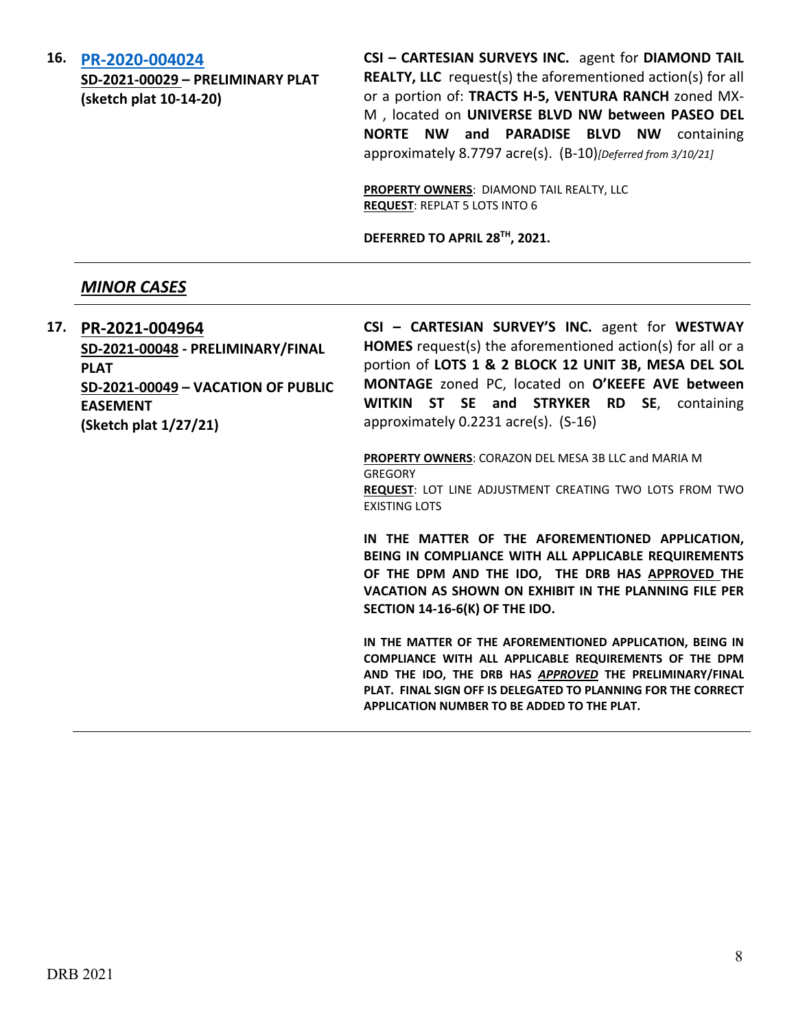**16. [PR-2020-004024](http://data.cabq.gov/government/planning/DRB/PR-2020-004024/DRB%20Submittals/)**

**SD-2021-00029 – PRELIMINARY PLAT (sketch plat 10-14-20)**

**CSI – CARTESIAN SURVEYS INC.** agent for **DIAMOND TAIL REALTY, LLC** request(s) the aforementioned action(s) for all or a portion of: **TRACTS H-5, VENTURA RANCH** zoned MX-M , located on **UNIVERSE BLVD NW between PASEO DEL NORTE NW and PARADISE BLVD NW** containing approximately 8.7797 acre(s). (B-10)*[Deferred from 3/10/21]*

**PROPERTY OWNERS**: DIAMOND TAIL REALTY, LLC **REQUEST**: REPLAT 5 LOTS INTO 6

**DEFERRED TO APRIL 28TH, 2021.**

### *MINOR CASES*

**17. [PR-2021-004964](http://data.cabq.gov/government/planning/DRB/PR-2021-004964/DRB%20Submittals/) SD-2021-00048 - PRELIMINARY/FINAL PLAT SD-2021-00049 – VACATION OF PUBLIC EASEMENT (Sketch plat 1/27/21)**

**CSI – CARTESIAN SURVEY'S INC.** agent for **WESTWAY HOMES** request(s) the aforementioned action(s) for all or a portion of **LOTS 1 & 2 BLOCK 12 UNIT 3B, MESA DEL SOL MONTAGE** zoned PC, located on **O'KEEFE AVE between WITKIN ST SE and STRYKER RD SE**, containing approximately 0.2231 acre(s). (S-16)

**PROPERTY OWNERS**: CORAZON DEL MESA 3B LLC and MARIA M **GREGORY REQUEST**: LOT LINE ADJUSTMENT CREATING TWO LOTS FROM TWO EXISTING LOTS

**IN THE MATTER OF THE AFOREMENTIONED APPLICATION, BEING IN COMPLIANCE WITH ALL APPLICABLE REQUIREMENTS OF THE DPM AND THE IDO, THE DRB HAS APPROVED THE VACATION AS SHOWN ON EXHIBIT IN THE PLANNING FILE PER SECTION 14-16-6(K) OF THE IDO.**

**IN THE MATTER OF THE AFOREMENTIONED APPLICATION, BEING IN COMPLIANCE WITH ALL APPLICABLE REQUIREMENTS OF THE DPM AND THE IDO, THE DRB HAS** *APPROVED* **THE PRELIMINARY/FINAL PLAT. FINAL SIGN OFF IS DELEGATED TO PLANNING FOR THE CORRECT APPLICATION NUMBER TO BE ADDED TO THE PLAT.**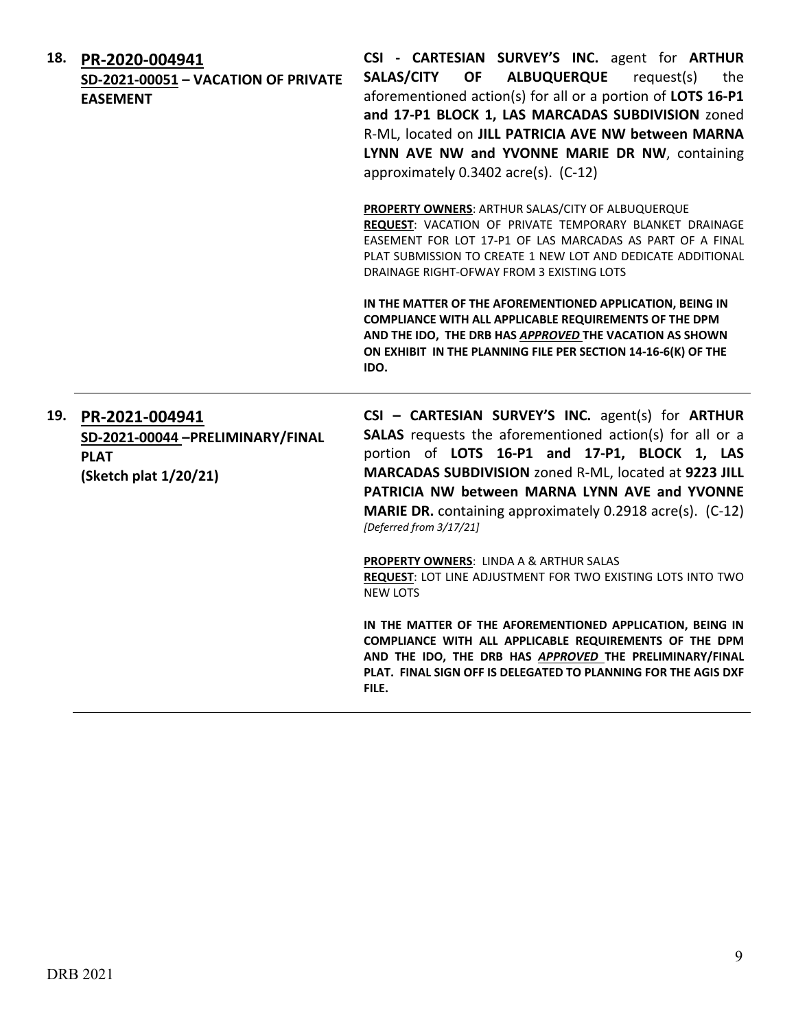| 18. | PR-2020-004941<br>SD-2021-00051 - VACATION OF PRIVATE<br><b>EASEMENT</b>                   | CSI - CARTESIAN SURVEY'S INC. agent for ARTHUR<br><b>OF</b><br><b>ALBUQUERQUE</b><br>request(s)<br><b>SALAS/CITY</b><br>the<br>aforementioned action(s) for all or a portion of LOTS 16-P1<br>and 17-P1 BLOCK 1, LAS MARCADAS SUBDIVISION zoned<br>R-ML, located on JILL PATRICIA AVE NW between MARNA<br>LYNN AVE NW and YVONNE MARIE DR NW, containing<br>approximately 0.3402 acre(s). (C-12)                                                                                              |
|-----|--------------------------------------------------------------------------------------------|-----------------------------------------------------------------------------------------------------------------------------------------------------------------------------------------------------------------------------------------------------------------------------------------------------------------------------------------------------------------------------------------------------------------------------------------------------------------------------------------------|
|     |                                                                                            | PROPERTY OWNERS: ARTHUR SALAS/CITY OF ALBUQUERQUE<br>REQUEST: VACATION OF PRIVATE TEMPORARY BLANKET DRAINAGE<br>EASEMENT FOR LOT 17-P1 OF LAS MARCADAS AS PART OF A FINAL<br>PLAT SUBMISSION TO CREATE 1 NEW LOT AND DEDICATE ADDITIONAL<br>DRAINAGE RIGHT-OFWAY FROM 3 EXISTING LOTS                                                                                                                                                                                                         |
|     |                                                                                            | IN THE MATTER OF THE AFOREMENTIONED APPLICATION, BEING IN<br>COMPLIANCE WITH ALL APPLICABLE REQUIREMENTS OF THE DPM<br>AND THE IDO, THE DRB HAS APPROVED THE VACATION AS SHOWN<br>ON EXHIBIT IN THE PLANNING FILE PER SECTION 14-16-6(K) OF THE<br>IDO.                                                                                                                                                                                                                                       |
| 19. | PR-2021-004941<br>SD-2021-00044 -PRELIMINARY/FINAL<br><b>PLAT</b><br>(Sketch plat 1/20/21) | CSI - CARTESIAN SURVEY'S INC. agent(s) for ARTHUR<br>SALAS requests the aforementioned action(s) for all or a<br>portion of LOTS 16-P1 and 17-P1, BLOCK 1, LAS<br>MARCADAS SUBDIVISION zoned R-ML, located at 9223 JILL<br>PATRICIA NW between MARNA LYNN AVE and YVONNE<br>MARIE DR. containing approximately 0.2918 acre(s). (C-12)<br>[Deferred from 3/17/21]<br>PROPERTY OWNERS: LINDA A & ARTHUR SALAS<br>REQUEST: LOT LINE ADJUSTMENT FOR TWO EXISTING LOTS INTO TWO<br><b>NEW LOTS</b> |
|     |                                                                                            | IN THE MATTER OF THE AFOREMENTIONED APPLICATION, BEING IN<br>COMPLIANCE WITH ALL APPLICABLE REQUIREMENTS OF THE DPM<br>AND THE IDO, THE DRB HAS APPROVED THE PRELIMINARY/FINAL<br>PLAT. FINAL SIGN OFF IS DELEGATED TO PLANNING FOR THE AGIS DXF<br>FILE.                                                                                                                                                                                                                                     |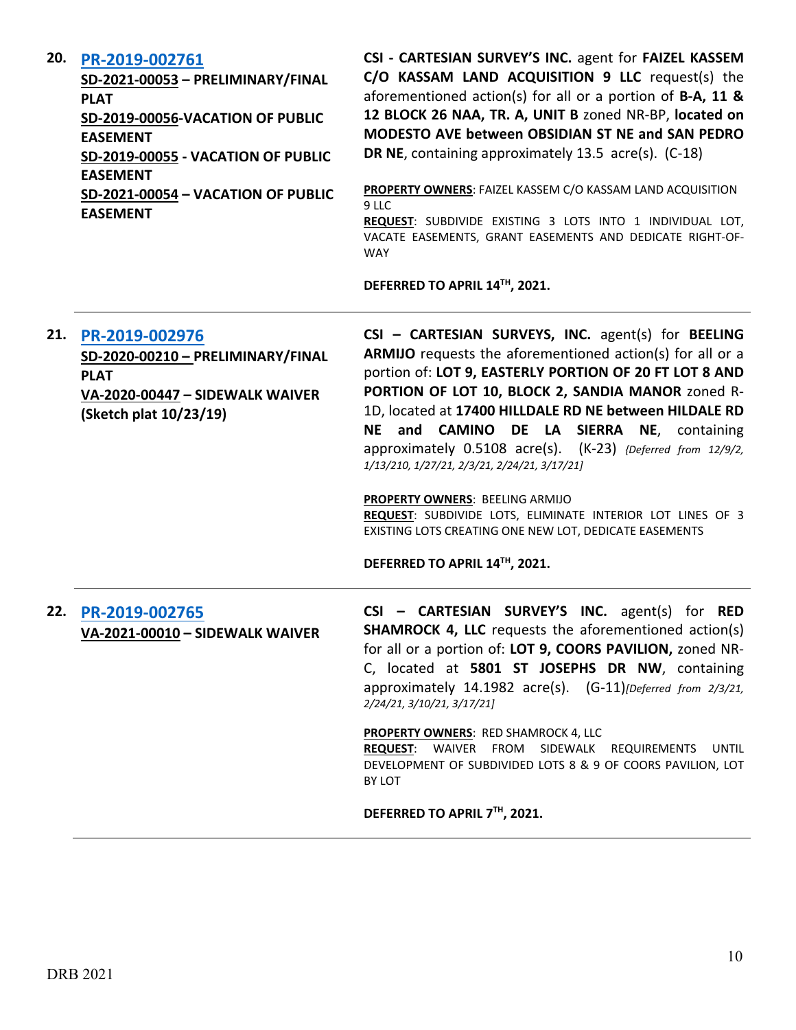| 20. | PR-2019-002761<br>SD-2021-00053 - PRELIMINARY/FINAL<br><b>PLAT</b><br>SD-2019-00056-VACATION OF PUBLIC<br><b>EASEMENT</b><br>SD-2019-00055 - VACATION OF PUBLIC<br><b>EASEMENT</b><br>SD-2021-00054 - VACATION OF PUBLIC<br><b>EASEMENT</b> | CSI - CARTESIAN SURVEY'S INC. agent for FAIZEL KASSEM<br>C/O KASSAM LAND ACQUISITION 9 LLC request(s) the<br>aforementioned action(s) for all or a portion of $B-A$ , 11 &<br>12 BLOCK 26 NAA, TR. A, UNIT B zoned NR-BP, located on<br>MODESTO AVE between OBSIDIAN ST NE and SAN PEDRO<br>DR NE, containing approximately 13.5 acre(s). (C-18)<br>PROPERTY OWNERS: FAIZEL KASSEM C/O KASSAM LAND ACQUISITION<br>9 LLC<br>REQUEST: SUBDIVIDE EXISTING 3 LOTS INTO 1 INDIVIDUAL LOT,<br>VACATE EASEMENTS, GRANT EASEMENTS AND DEDICATE RIGHT-OF-<br><b>WAY</b><br>DEFERRED TO APRIL 14TH, 2021.                                                  |
|-----|---------------------------------------------------------------------------------------------------------------------------------------------------------------------------------------------------------------------------------------------|--------------------------------------------------------------------------------------------------------------------------------------------------------------------------------------------------------------------------------------------------------------------------------------------------------------------------------------------------------------------------------------------------------------------------------------------------------------------------------------------------------------------------------------------------------------------------------------------------------------------------------------------------|
| 21. | PR-2019-002976<br>SD-2020-00210 - PRELIMINARY/FINAL<br><b>PLAT</b><br>VA-2020-00447 - SIDEWALK WAIVER<br>(Sketch plat 10/23/19)                                                                                                             | CSI - CARTESIAN SURVEYS, INC. agent(s) for BEELING<br>ARMIJO requests the aforementioned action(s) for all or a<br>portion of: LOT 9, EASTERLY PORTION OF 20 FT LOT 8 AND<br>PORTION OF LOT 10, BLOCK 2, SANDIA MANOR zoned R-<br>1D, located at 17400 HILLDALE RD NE between HILDALE RD<br>NE and CAMINO DE LA SIERRA NE, containing<br>approximately 0.5108 acre(s). (K-23) {Deferred from 12/9/2,<br>1/13/210, 1/27/21, 2/3/21, 2/24/21, 3/17/21]<br>PROPERTY OWNERS: BEELING ARMIJO<br>REQUEST: SUBDIVIDE LOTS, ELIMINATE INTERIOR LOT LINES OF 3<br>EXISTING LOTS CREATING ONE NEW LOT, DEDICATE EASEMENTS<br>DEFERRED TO APRIL 14TH, 2021. |
| 22. | PR-2019-002765<br>VA-2021-00010 - SIDEWALK WAIVER                                                                                                                                                                                           | <b>CARTESIAN SURVEY'S INC.</b> agent(s) for RED<br>$CSI -$<br><b>SHAMROCK 4, LLC</b> requests the aforementioned action(s)<br>for all or a portion of: LOT 9, COORS PAVILION, zoned NR-<br>C, located at 5801 ST JOSEPHS DR NW, containing<br>approximately 14.1982 acre(s). (G-11)[Deferred from 2/3/21,<br>2/24/21, 3/10/21, 3/17/21]<br><b>PROPERTY OWNERS: RED SHAMROCK 4, LLC</b><br>REQUEST: WAIVER FROM SIDEWALK REQUIREMENTS<br>UNTIL<br>DEVELOPMENT OF SUBDIVIDED LOTS 8 & 9 OF COORS PAVILION, LOT<br>BY LOT<br>DEFERRED TO APRIL 7TH, 2021.                                                                                           |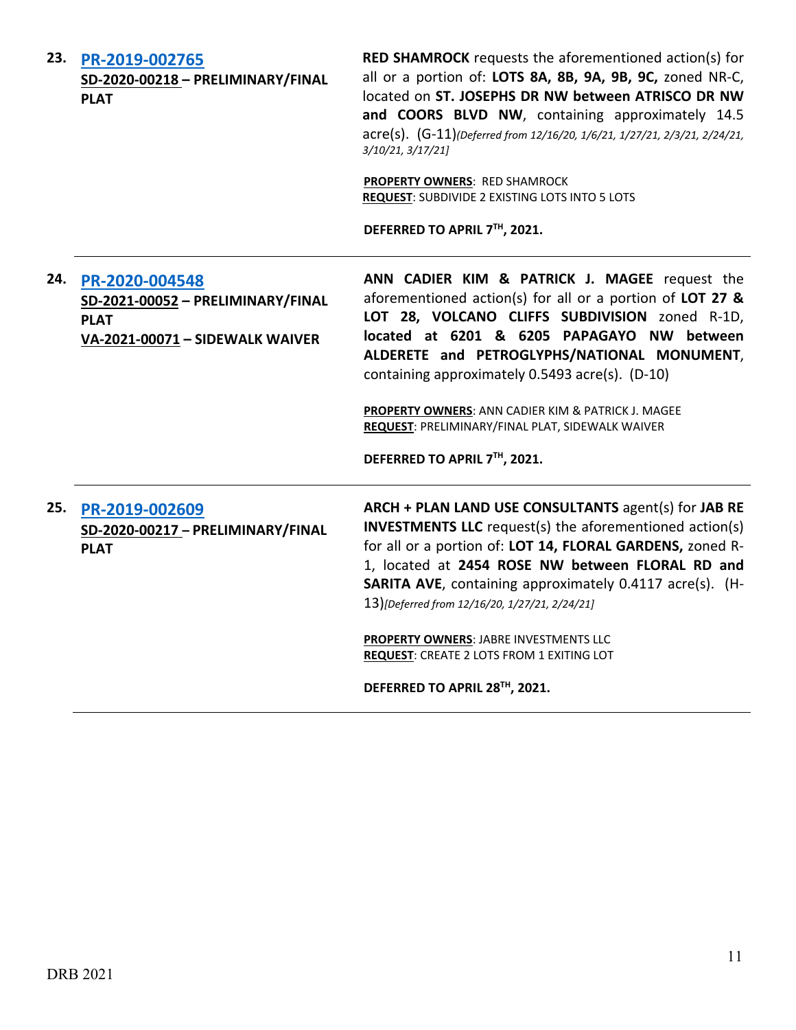| 23. | PR-2019-002765<br>SD-2020-00218 - PRELIMINARY/FINAL<br><b>PLAT</b>                                    | <b>RED SHAMROCK</b> requests the aforementioned action(s) for<br>all or a portion of: LOTS 8A, 8B, 9A, 9B, 9C, zoned NR-C,<br>located on ST. JOSEPHS DR NW between ATRISCO DR NW<br>and COORS BLVD NW, containing approximately 14.5<br>acre(s). (G-11)(Deferred from 12/16/20, 1/6/21, 1/27/21, 2/3/21, 2/24/21,<br>3/10/21, 3/17/21]<br>PROPERTY OWNERS: RED SHAMROCK<br>REQUEST: SUBDIVIDE 2 EXISTING LOTS INTO 5 LOTS<br>DEFERRED TO APRIL 7TH, 2021.                                            |
|-----|-------------------------------------------------------------------------------------------------------|------------------------------------------------------------------------------------------------------------------------------------------------------------------------------------------------------------------------------------------------------------------------------------------------------------------------------------------------------------------------------------------------------------------------------------------------------------------------------------------------------|
| 24. | PR-2020-004548<br>SD-2021-00052 - PRELIMINARY/FINAL<br><b>PLAT</b><br>VA-2021-00071 - SIDEWALK WAIVER | ANN CADIER KIM & PATRICK J. MAGEE request the<br>aforementioned action(s) for all or a portion of LOT 27 &<br>LOT 28, VOLCANO CLIFFS SUBDIVISION zoned R-1D,<br>located at 6201 & 6205 PAPAGAYO NW between<br>ALDERETE and PETROGLYPHS/NATIONAL MONUMENT,<br>containing approximately 0.5493 acre(s). (D-10)<br>PROPERTY OWNERS: ANN CADIER KIM & PATRICK J. MAGEE<br>REQUEST: PRELIMINARY/FINAL PLAT, SIDEWALK WAIVER<br>DEFERRED TO APRIL 7TH, 2021.                                               |
| 25. | PR-2019-002609<br>SD-2020-00217 - PRELIMINARY/FINAL<br><b>PLAT</b>                                    | ARCH + PLAN LAND USE CONSULTANTS agent(s) for JAB RE<br><b>INVESTMENTS LLC</b> request(s) the aforementioned action(s)<br>for all or a portion of: LOT 14, FLORAL GARDENS, zoned R-<br>1, located at 2454 ROSE NW between FLORAL RD and<br><b>SARITA AVE, containing approximately 0.4117 acre(s). (H-</b><br>13)[Deferred from 12/16/20, 1/27/21, 2/24/21]<br>PROPERTY OWNERS: JABRE INVESTMENTS LLC<br><b>REQUEST: CREATE 2 LOTS FROM 1 EXITING LOT</b><br>BEFERRER TO ARRIV 30 <sup>TH</sup> 3034 |

DEFERRED TO APRIL 28<sup>TH</sup>, 2021.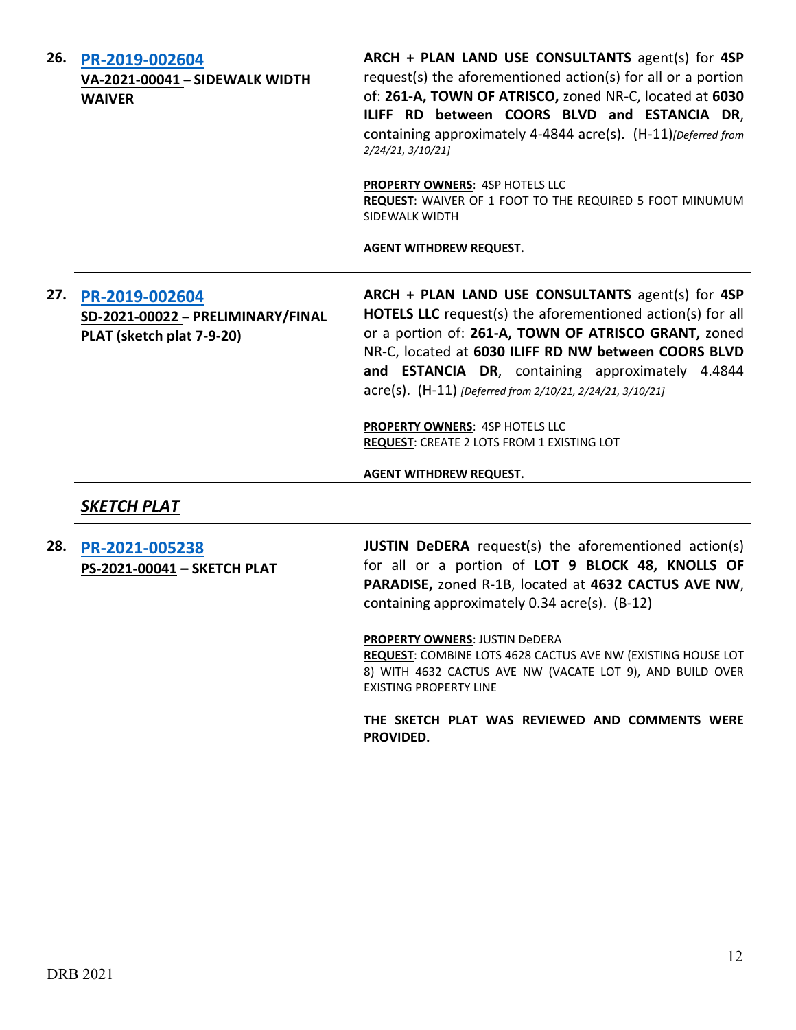| 26. | PR-2019-002604<br>VA-2021-00041 - SIDEWALK WIDTH<br><b>WAIVER</b>                | ARCH + PLAN LAND USE CONSULTANTS agent(s) for 4SP<br>request(s) the aforementioned action(s) for all or a portion<br>of: 261-A, TOWN OF ATRISCO, zoned NR-C, located at 6030<br>ILIFF RD between COORS BLVD and ESTANCIA DR,<br>containing approximately 4-4844 acre(s). (H-11) [Deferred from<br>2/24/21, 3/10/21]                                     |
|-----|----------------------------------------------------------------------------------|---------------------------------------------------------------------------------------------------------------------------------------------------------------------------------------------------------------------------------------------------------------------------------------------------------------------------------------------------------|
|     |                                                                                  | <b>PROPERTY OWNERS: 4SP HOTELS LLC</b><br>REQUEST: WAIVER OF 1 FOOT TO THE REQUIRED 5 FOOT MINUMUM<br>SIDEWALK WIDTH                                                                                                                                                                                                                                    |
|     |                                                                                  | <b>AGENT WITHDREW REQUEST.</b>                                                                                                                                                                                                                                                                                                                          |
| 27. | PR-2019-002604<br>SD-2021-00022 - PRELIMINARY/FINAL<br>PLAT (sketch plat 7-9-20) | ARCH + PLAN LAND USE CONSULTANTS agent(s) for 4SP<br><b>HOTELS LLC</b> request(s) the aforementioned action(s) for all<br>or a portion of: 261-A, TOWN OF ATRISCO GRANT, zoned<br>NR-C, located at 6030 ILIFF RD NW between COORS BLVD<br>and ESTANCIA DR, containing approximately 4.4844<br>acre(s). (H-11) [Deferred from 2/10/21, 2/24/21, 3/10/21] |
|     |                                                                                  | <b>PROPERTY OWNERS: 4SP HOTELS LLC</b><br><b>REQUEST: CREATE 2 LOTS FROM 1 EXISTING LOT</b>                                                                                                                                                                                                                                                             |
|     |                                                                                  | <b>AGENT WITHDREW REQUEST.</b>                                                                                                                                                                                                                                                                                                                          |
|     | <b>SKETCH PLAT</b>                                                               |                                                                                                                                                                                                                                                                                                                                                         |
| 28. | PR-2021-005238<br>PS-2021-00041 - SKETCH PLAT                                    | <b>JUSTIN DeDERA</b> request(s) the aforementioned action(s)<br>for all or a portion of LOT 9 BLOCK 48, KNOLLS OF<br>PARADISE, zoned R-1B, located at 4632 CACTUS AVE NW,<br>containing approximately 0.34 acre(s). (B-12)                                                                                                                              |
|     |                                                                                  | <b>PROPERTY OWNERS: JUSTIN DeDERA</b><br>REQUEST: COMBINE LOTS 4628 CACTUS AVE NW (EXISTING HOUSE LOT<br>8) WITH 4632 CACTUS AVE NW (VACATE LOT 9), AND BUILD OVER<br><b>EXISTING PROPERTY LINE</b>                                                                                                                                                     |
|     |                                                                                  | THE SKETCH PLAT WAS REVIEWED AND COMMENTS WERE<br>PROVIDED.                                                                                                                                                                                                                                                                                             |